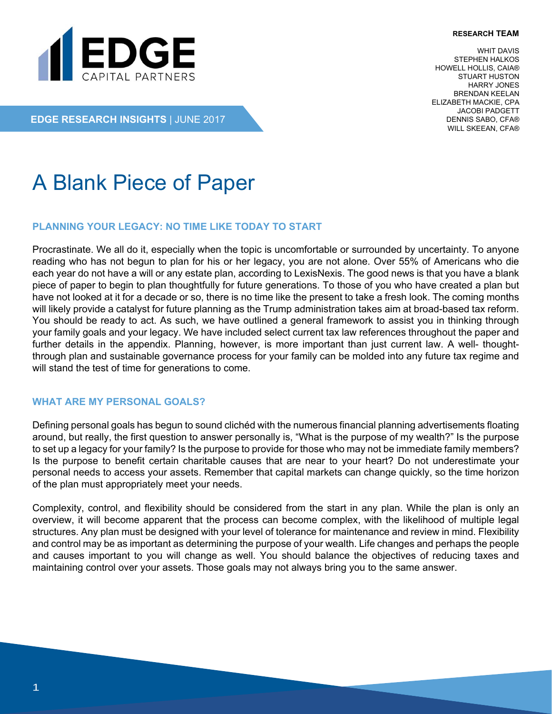#### **RESEARCH TEAM**



WHIT DAVIS STEPHEN HALKOS HOWELL HOLLIS, CAIA® STUART HUSTON HARRY JONES BRENDAN KEELAN ELIZABETH MACKIE, CPA JACOBI PADGETT DENNIS SABO, CFA® WILL SKEEAN, CFA®

**EDGE RESEARCH INSIGHTS** | JUNE 2017

# A Blank Piece of Paper

#### **PLANNING YOUR LEGACY: NO TIME LIKE TODAY TO START**

Procrastinate. We all do it, especially when the topic is uncomfortable or surrounded by uncertainty. To anyone reading who has not begun to plan for his or her legacy, you are not alone. Over 55% of Americans who die each year do not have a will or any estate plan, according to LexisNexis. The good news is that you have a blank piece of paper to begin to plan thoughtfully for future generations. To those of you who have created a plan but have not looked at it for a decade or so, there is no time like the present to take a fresh look. The coming months will likely provide a catalyst for future planning as the Trump administration takes aim at broad-based tax reform. You should be ready to act. As such, we have outlined a general framework to assist you in thinking through your family goals and your legacy. We have included select current tax law references throughout the paper and further details in the appendix. Planning, however, is more important than just current law. A well- thoughtthrough plan and sustainable governance process for your family can be molded into any future tax regime and will stand the test of time for generations to come.

#### **WHAT ARE MY PERSONAL GOALS?**

Defining personal goals has begun to sound clichéd with the numerous financial planning advertisements floating around, but really, the first question to answer personally is, "What is the purpose of my wealth?" Is the purpose to set up a legacy for your family? Is the purpose to provide for those who may not be immediate family members? Is the purpose to benefit certain charitable causes that are near to your heart? Do not underestimate your personal needs to access your assets. Remember that capital markets can change quickly, so the time horizon of the plan must appropriately meet your needs.

Complexity, control, and flexibility should be considered from the start in any plan. While the plan is only an overview, it will become apparent that the process can become complex, with the likelihood of multiple legal structures. Any plan must be designed with your level of tolerance for maintenance and review in mind. Flexibility and control may be as important as determining the purpose of your wealth. Life changes and perhaps the people and causes important to you will change as well. You should balance the objectives of reducing taxes and maintaining control over your assets. Those goals may not always bring you to the same answer.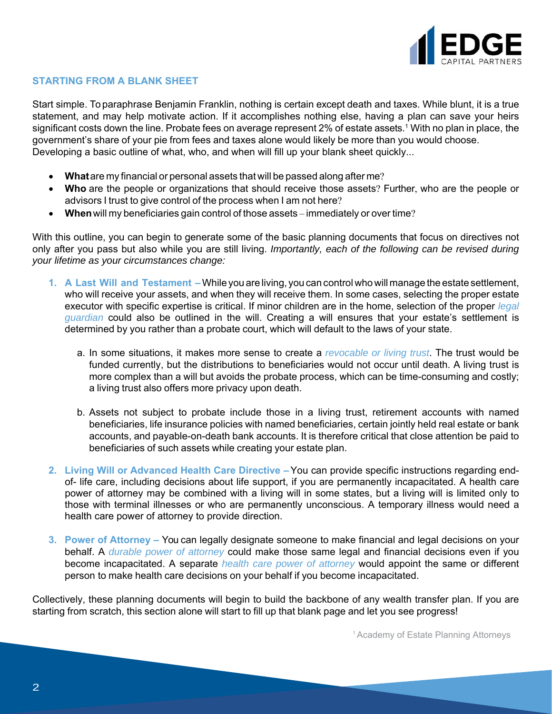

#### **STARTING FROM A BLANK SHEET**

Start simple. To paraphrase Benjamin Franklin, nothing is certain except death and taxes. While blunt, it is a true statement, and may help motivate action. If it accomplishes nothing else, having a plan can save your heirs significant costs down the line. Probate fees on average represent 2% of estate assets.<sup>1</sup> With no plan in place, the government's share of your pie from fees and taxes alone would likely be more than you would choose. Developing a basic outline of what, who, and when will fill up your blank sheet quickly...

- **What**are my financial or personal assets that will be passed along after me?
- **Who** are the people or organizations that should receive those assets? Further, who are the people or advisors I trust to give control of the process when I am not here?
- **When**will my beneficiaries gain control of those assets immediately or over time?

With this outline, you can begin to generate some of the basic planning documents that focus on directives not only after you pass but also while you are still living. *Importantly, each of the following can be revised during your lifetime as your circumstances change:*

- **1. A Last Will and Testament –**While you are living, you can control who will manage the estate settlement, who will receive your assets, and when they will receive them. In some cases, selecting the proper estate executor with specific expertise is critical. If minor children are in the home, selection of the proper *legal guardian* could also be outlined in the will. Creating a will ensures that your estate's settlement is determined by you rather than a probate court, which will default to the laws of your state.
	- a. In some situations, it makes more sense to create a *revocable or living trust*. The trust would be funded currently, but the distributions to beneficiaries would not occur until death. A living trust is more complex than a will but avoids the probate process, which can be time-consuming and costly; a living trust also offers more privacy upon death.
	- b. Assets not subject to probate include those in a living trust, retirement accounts with named beneficiaries, life insurance policies with named beneficiaries, certain jointly held real estate or bank accounts, and payable-on-death bank accounts. It is therefore critical that close attention be paid to beneficiaries of such assets while creating your estate plan.
- **2. Living Will or Advanced Health Care Directive –**You can provide specific instructions regarding endof- life care, including decisions about life support, if you are permanently incapacitated. A health care power of attorney may be combined with a living will in some states, but a living will is limited only to those with terminal illnesses or who are permanently unconscious. A temporary illness would need a health care power of attorney to provide direction.
- **3. Power of Attorney** You can legally designate someone to make financial and legal decisions on your behalf. A *durable power of attorney* could make those same legal and financial decisions even if you become incapacitated. A separate *health care power of attorney* would appoint the same or different person to make health care decisions on your behalf if you become incapacitated.

Collectively, these planning documents will begin to build the backbone of any wealth transfer plan. If you are starting from scratch, this section alone will start to fill up that blank page and let you see progress!

1 Academy of Estate Planning Attorneys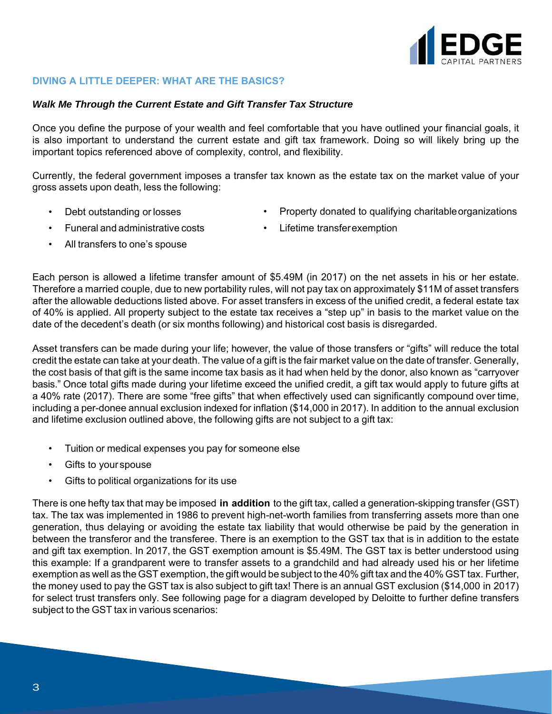

### **DIVING A LITTLE DEEPER: WHAT ARE THE BASICS?**

#### *Walk Me Through the Current Estate and Gift Transfer Tax Structure*

Once you define the purpose of your wealth and feel comfortable that you have outlined your financial goals, it is also important to understand the current estate and gift tax framework. Doing so will likely bring up the important topics referenced above of complexity, control, and flexibility.

Currently, the federal government imposes a transfer tax known as the estate tax on the market value of your gross assets upon death, less the following:

• Debt outstanding or losses

- Property donated to qualifying charitable organizations
- Funeral and administrative costs
- Lifetime transfer exemption

• All transfers to one's spouse

Each person is allowed a lifetime transfer amount of \$5.49M (in 2017) on the net assets in his or her estate. Therefore a married couple, due to new portability rules, will not pay tax on approximately \$11M of asset transfers after the allowable deductions listed above. For asset transfers in excess of the unified credit, a federal estate tax of 40% is applied. All property subject to the estate tax receives a "step up" in basis to the market value on the date of the decedent's death (or six months following) and historical cost basis is disregarded.

Asset transfers can be made during your life; however, the value of those transfers or "gifts" will reduce the total credit the estate can take at your death. The value of a gift is the fair market value on the date of transfer. Generally, the cost basis of that gift is the same income tax basis as it had when held by the donor, also known as "carryover basis." Once total gifts made during your lifetime exceed the unified credit, a gift tax would apply to future gifts at a 40% rate (2017). There are some "free gifts" that when effectively used can significantly compound over time, including a per-donee annual exclusion indexed for inflation (\$14,000 in 2017). In addition to the annual exclusion and lifetime exclusion outlined above, the following gifts are not subject to a gift tax:

- Tuition or medical expenses you pay for someone else
- Gifts to your spouse
- Gifts to political organizations for its use

There is one hefty tax that may be imposed **in addition** to the gift tax, called a generation-skipping transfer (GST) tax. The tax was implemented in 1986 to prevent high-net-worth families from transferring assets more than one generation, thus delaying or avoiding the estate tax liability that would otherwise be paid by the generation in between the transferor and the transferee. There is an exemption to the GST tax that is in addition to the estate and gift tax exemption. In 2017, the GST exemption amount is \$5.49M. The GST tax is better understood using this example: If a grandparent were to transfer assets to a grandchild and had already used his or her lifetime exemption as well as the GST exemption, the gift would be subject to the 40% gift tax and the 40% GST tax. Further, the money used to pay the GST tax is also subject to gift tax! There is an annual GST exclusion (\$14,000 in 2017) for select trust transfers only. See following page for a diagram developed by Deloitte to further define transfers subject to the GST tax in various scenarios: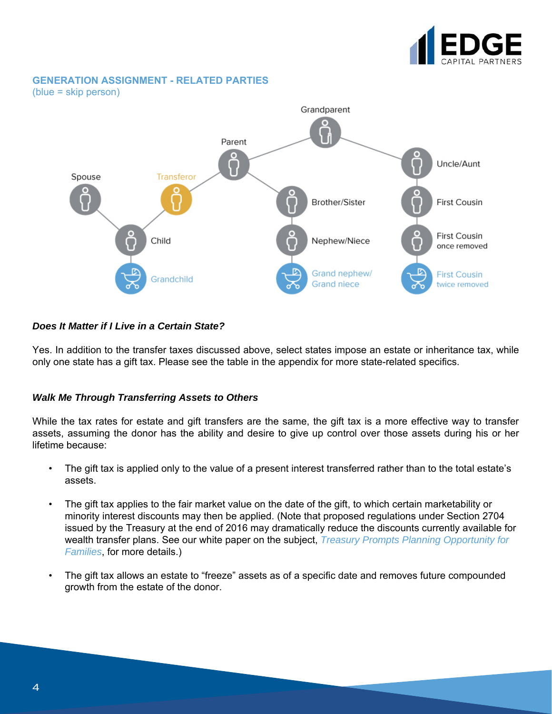

#### **GENERATION ASSIGNMENT - RELATED PARTIES**

(blue = skip person)



#### *Does It Matter if I Live in a Certain State?*

Yes. In addition to the transfer taxes discussed above, select states impose an estate or inheritance tax, while only one state has a gift tax. Please see the table in the appendix for more state-related specifics.

#### *Walk Me Through Transferring Assets to Others*

While the tax rates for estate and gift transfers are the same, the gift tax is a more effective way to transfer assets, assuming the donor has the ability and desire to give up control over those assets during his or her lifetime because:

- The gift tax is applied only to the value of a present interest transferred rather than to the total estate's assets.
- The gift tax applies to the fair market value on the date of the gift, to which certain marketability or minority interest discounts may then be applied. (Note that proposed regulations under Section 2704 issued by the Treasury at the end of 2016 may dramatically reduce the discounts currently available for wealth transfer plans. See our white paper on the subject, *Treasury Prompts Planning Opportunity for Families*, for more details.)
- The gift tax allows an estate to "freeze" assets as of a specific date and removes future compounded growth from the estate of the donor.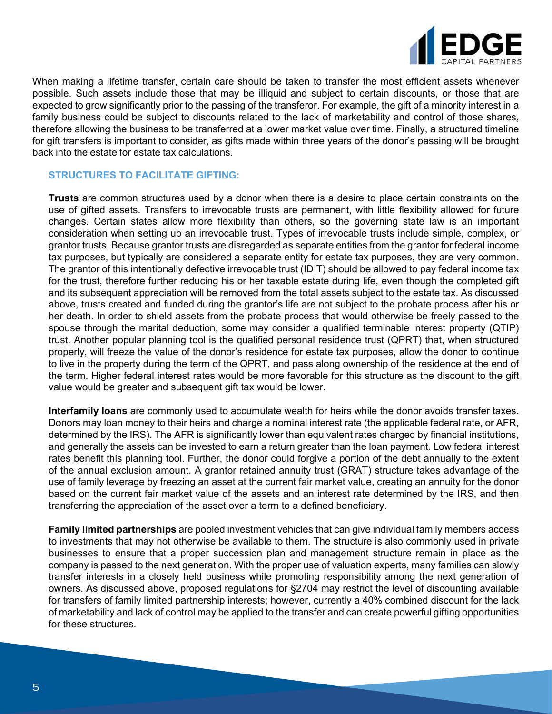

When making a lifetime transfer, certain care should be taken to transfer the most efficient assets whenever possible. Such assets include those that may be illiquid and subject to certain discounts, or those that are expected to grow significantly prior to the passing of the transferor. For example, the gift of a minority interest in a family business could be subject to discounts related to the lack of marketability and control of those shares, therefore allowing the business to be transferred at a lower market value over time. Finally, a structured timeline for gift transfers is important to consider, as gifts made within three years of the donor's passing will be brought back into the estate for estate tax calculations.

#### **STRUCTURES TO FACILITATE GIFTING:**

**Trusts** are common structures used by a donor when there is a desire to place certain constraints on the use of gifted assets. Transfers to irrevocable trusts are permanent, with little flexibility allowed for future changes. Certain states allow more flexibility than others, so the governing state law is an important consideration when setting up an irrevocable trust. Types of irrevocable trusts include simple, complex, or grantor trusts. Because grantor trusts are disregarded as separate entities from the grantor for federal income tax purposes, but typically are considered a separate entity for estate tax purposes, they are very common. The grantor of this intentionally defective irrevocable trust (IDIT) should be allowed to pay federal income tax for the trust, therefore further reducing his or her taxable estate during life, even though the completed gift and its subsequent appreciation will be removed from the total assets subject to the estate tax. As discussed above, trusts created and funded during the grantor's life are not subject to the probate process after his or her death. In order to shield assets from the probate process that would otherwise be freely passed to the spouse through the marital deduction, some may consider a qualified terminable interest property (QTIP) trust. Another popular planning tool is the qualified personal residence trust (QPRT) that, when structured properly, will freeze the value of the donor's residence for estate tax purposes, allow the donor to continue to live in the property during the term of the QPRT, and pass along ownership of the residence at the end of the term. Higher federal interest rates would be more favorable for this structure as the discount to the gift value would be greater and subsequent gift tax would be lower.

**Interfamily loans** are commonly used to accumulate wealth for heirs while the donor avoids transfer taxes. Donors may loan money to their heirs and charge a nominal interest rate (the applicable federal rate, or AFR, determined by the IRS). The AFR is significantly lower than equivalent rates charged by financial institutions, and generally the assets can be invested to earn a return greater than the loan payment. Low federal interest rates benefit this planning tool. Further, the donor could forgive a portion of the debt annually to the extent of the annual exclusion amount. A grantor retained annuity trust (GRAT) structure takes advantage of the use of family leverage by freezing an asset at the current fair market value, creating an annuity for the donor based on the current fair market value of the assets and an interest rate determined by the IRS, and then transferring the appreciation of the asset over a term to a defined beneficiary.

**Family limited partnerships** are pooled investment vehicles that can give individual family members access to investments that may not otherwise be available to them. The structure is also commonly used in private businesses to ensure that a proper succession plan and management structure remain in place as the company is passed to the next generation. With the proper use of valuation experts, many families can slowly transfer interests in a closely held business while promoting responsibility among the next generation of owners. As discussed above, proposed regulations for §2704 may restrict the level of discounting available for transfers of family limited partnership interests; however, currently a 40% combined discount for the lack of marketability and lack of control may be applied to the transfer and can create powerful gifting opportunities for these structures.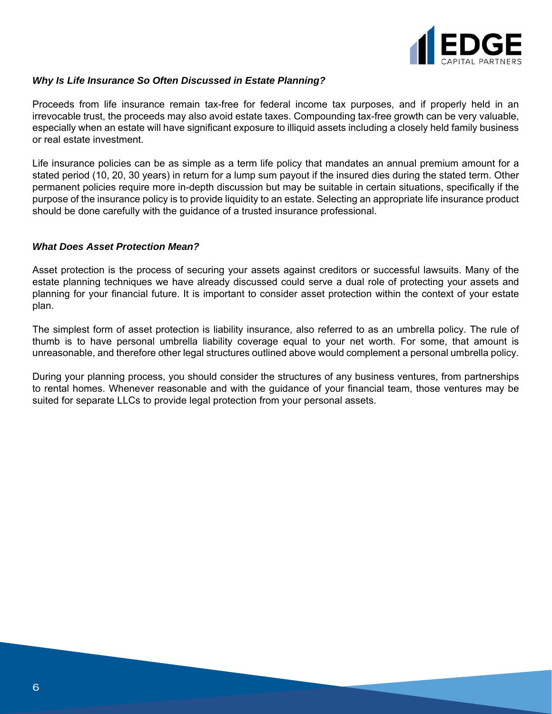

#### *Why Is Life Insurance So Often Discussed in Estate Planning?*

Proceeds from life insurance remain tax-free for federal income tax purposes, and if properly held in an irrevocable trust, the proceeds may also avoid estate taxes. Compounding tax-free growth can be very valuable, especially when an estate will have significant exposure to illiquid assets including a closely held family business or real estate investment.

Life insurance policies can be as simple as a term life policy that mandates an annual premium amount for a stated period (10, 20, 30 years) in return for a lump sum payout if the insured dies during the stated term. Other permanent policies require more in-depth discussion but may be suitable in certain situations, specifically if the purpose of the insurance policy is to provide liquidity to an estate. Selecting an appropriate life insurance product should be done carefully with the guidance of a trusted insurance professional.

#### *What Does Asset Protection Mean?*

Asset protection is the process of securing your assets against creditors or successful lawsuits. Many of the estate planning techniques we have already discussed could serve a dual role of protecting your assets and planning for your financial future. It is important to consider asset protection within the context of your estate plan.

The simplest form of asset protection is liability insurance, also referred to as an umbrella policy. The rule of thumb is to have personal umbrella liability coverage equal to your net worth. For some, that amount is unreasonable, and therefore other legal structures outlined above would complement a personal umbrella policy.

During your planning process, you should consider the structures of any business ventures, from partnerships to rental homes. Whenever reasonable and with the guidance of your financial team, those ventures may be suited for separate LLCs to provide legal protection from your personal assets.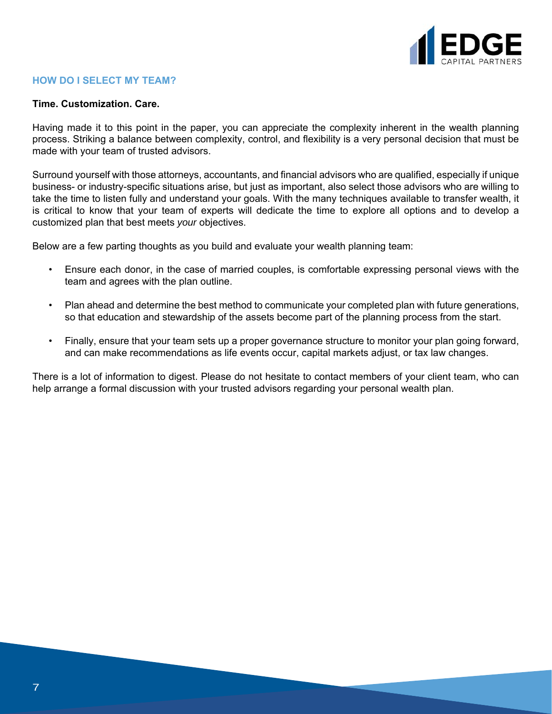

#### **HOW DO I SELECT MY TEAM?**

#### **Time. Customization. Care.**

Having made it to this point in the paper, you can appreciate the complexity inherent in the wealth planning process. Striking a balance between complexity, control, and flexibility is a very personal decision that must be made with your team of trusted advisors.

Surround yourself with those attorneys, accountants, and financial advisors who are qualified, especially if unique business- or industry-specific situations arise, but just as important, also select those advisors who are willing to take the time to listen fully and understand your goals. With the many techniques available to transfer wealth, it is critical to know that your team of experts will dedicate the time to explore all options and to develop a customized plan that best meets *your* objectives.

Below are a few parting thoughts as you build and evaluate your wealth planning team:

- Ensure each donor, in the case of married couples, is comfortable expressing personal views with the team and agrees with the plan outline.
- Plan ahead and determine the best method to communicate your completed plan with future generations, so that education and stewardship of the assets become part of the planning process from the start.
- Finally, ensure that your team sets up a proper governance structure to monitor your plan going forward, and can make recommendations as life events occur, capital markets adjust, or tax law changes.

There is a lot of information to digest. Please do not hesitate to contact members of your client team, who can help arrange a formal discussion with your trusted advisors regarding your personal wealth plan.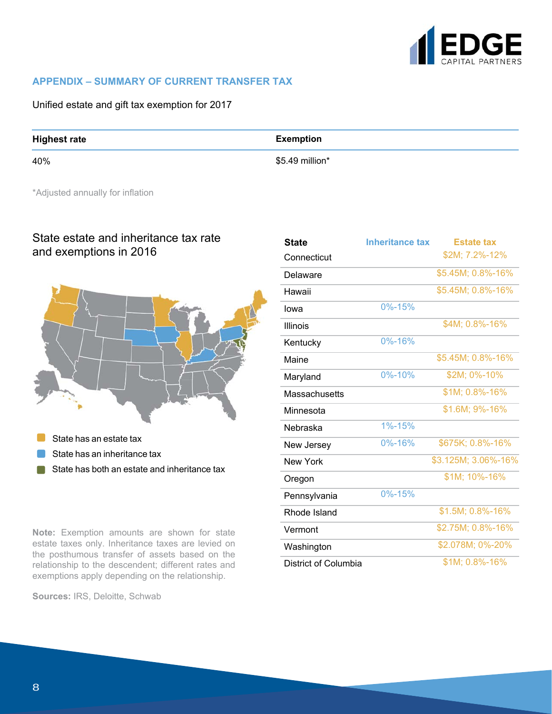

#### **APPENDIX – SUMMARY OF CURRENT TRANSFER TAX**

Unified estate and gift tax exemption for 2017

#### **Highest rate**

40%

#### **Exemption**

\$5.49 million\*

\*Adjusted annually for inflation

## State estate and inheritance tax rate and exemptions in 2016



State has an estate tax

- State has an inheritance tax
- State has both an estate and inheritance tax  $\blacksquare$

**Note:** Exemption amounts are shown for state estate taxes only. Inheritance taxes are levied on the posthumous transfer of assets based on the relationship to the descendent; different rates and exemptions apply depending on the relationship.

**Sources:** IRS, Deloitte, Schwab

| <b>State</b>         | <b>Inheritance tax</b> | <b>Estate tax</b>   |
|----------------------|------------------------|---------------------|
| Connecticut          |                        | \$2M; 7.2%-12%      |
| Delaware             |                        | \$5.45M; 0.8%-16%   |
| Hawaii               |                        | \$5.45M; 0.8%-16%   |
| lowa                 | $0% - 15%$             |                     |
| Illinois             |                        | \$4M; 0.8%-16%      |
| Kentucky             | 0%-16%                 |                     |
| Maine                |                        | \$5.45M; 0.8%-16%   |
| Maryland             | 0%-10%                 | \$2M; 0%-10%        |
| <b>Massachusetts</b> |                        | \$1M; 0.8%-16%      |
| Minnesota            |                        | \$1.6M; 9%-16%      |
| Nebraska             | 1%-15%                 |                     |
| New Jersey           | 0%-16%                 | \$675K; 0.8%-16%    |
| <b>New York</b>      |                        | \$3.125M; 3.06%-16% |
| Oregon               |                        | \$1M; 10%-16%       |
| Pennsylvania         | 0%-15%                 |                     |
| Rhode Island         |                        | \$1.5M; 0.8%-16%    |
| Vermont              |                        | \$2.75M; 0.8%-16%   |
| Washington           |                        | \$2.078M; 0%-20%    |
| District of Columbia |                        | \$1M; 0.8%-16%      |